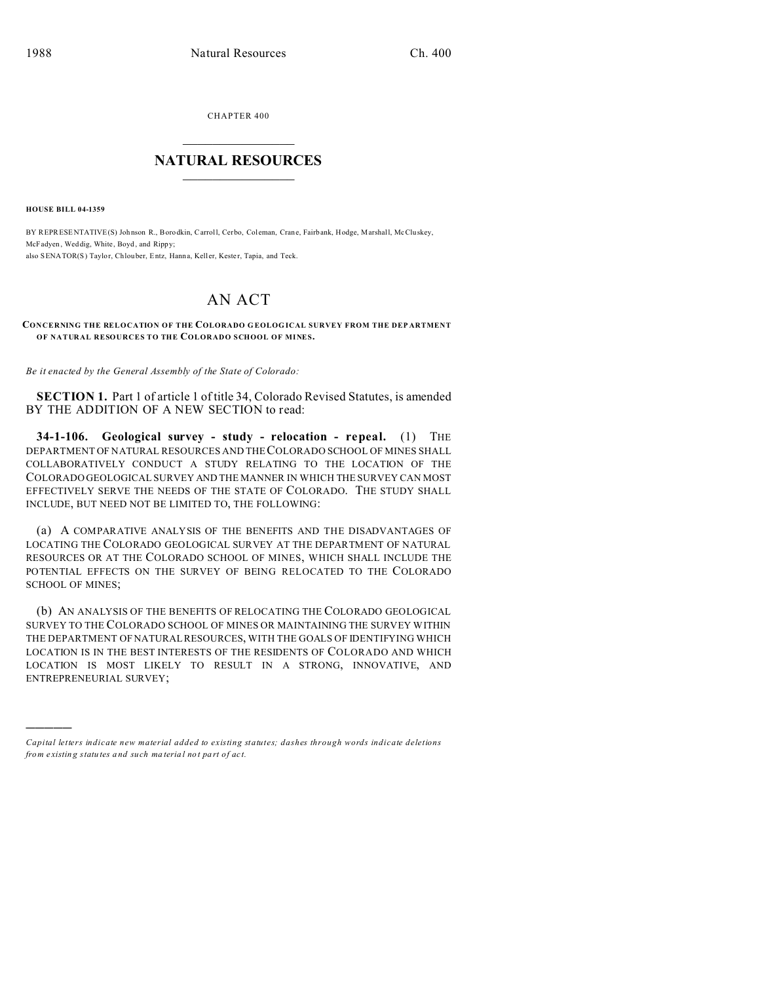CHAPTER 400

## **NATURAL RESOURCES**

**HOUSE BILL 04-1359** 

BY REPRESENTATIVE(S) Johnson R., Borodkin, Carroll, Cerbo, Coleman, Crane, Fairbank, Hodge, Marshall, McCluskey, McFadyen, Weddig, White, Boyd, and Rippy; also SENATOR(S) Taylor, Chlouber, Entz, Hanna, Keller, Kester, Tapia, and Teck.

# AN ACT

#### CONCERNING THE RELOCATION OF THE COLORADO GEOLOGICAL SURVEY FROM THE DEPARTMENT OF NATURAL RESOURCES TO THE COLORADO SCHOOL OF MINES.

Be it enacted by the General Assembly of the State of Colorado:

**SECTION 1.** Part 1 of article 1 of title 34, Colorado Revised Statutes, is amended BY THE ADDITION OF A NEW SECTION to read:

34-1-106. Geological survey - study - relocation - repeal. (1) THE DEPARTMENT OF NATURAL RESOURCES AND THE COLORADO SCHOOL OF MINES SHALL COLLABORATIVELY CONDUCT A STUDY RELATING TO THE LOCATION OF THE COLORADO GEOLOGICAL SURVEY AND THE MANNER IN WHICH THE SURVEY CAN MOST EFFECTIVELY SERVE THE NEEDS OF THE STATE OF COLORADO. THE STUDY SHALL INCLUDE, BUT NEED NOT BE LIMITED TO, THE FOLLOWING:

(a) A COMPARATIVE ANALYSIS OF THE BENEFITS AND THE DISADVANTAGES OF LOCATING THE COLORADO GEOLOGICAL SURVEY AT THE DEPARTMENT OF NATURAL RESOURCES OR AT THE COLORADO SCHOOL OF MINES, WHICH SHALL INCLUDE THE POTENTIAL EFFECTS ON THE SURVEY OF BEING RELOCATED TO THE COLORADO **SCHOOL OF MINES:** 

(b) AN ANALYSIS OF THE BENEFITS OF RELOCATING THE COLORADO GEOLOGICAL SURVEY TO THE COLORADO SCHOOL OF MINES OR MAINTAINING THE SURVEY WITHIN THE DEPARTMENT OF NATURAL RESOURCES, WITH THE GOALS OF IDENTIFYING WHICH LOCATION IS IN THE BEST INTERESTS OF THE RESIDENTS OF COLORADO AND WHICH LOCATION IS MOST LIKELY TO RESULT IN A STRONG, INNOVATIVE, AND ENTREPRENEURIAL SURVEY;

Capital letters indicate new material added to existing statutes; dashes through words indicate deletions from existing statutes and such material not part of act.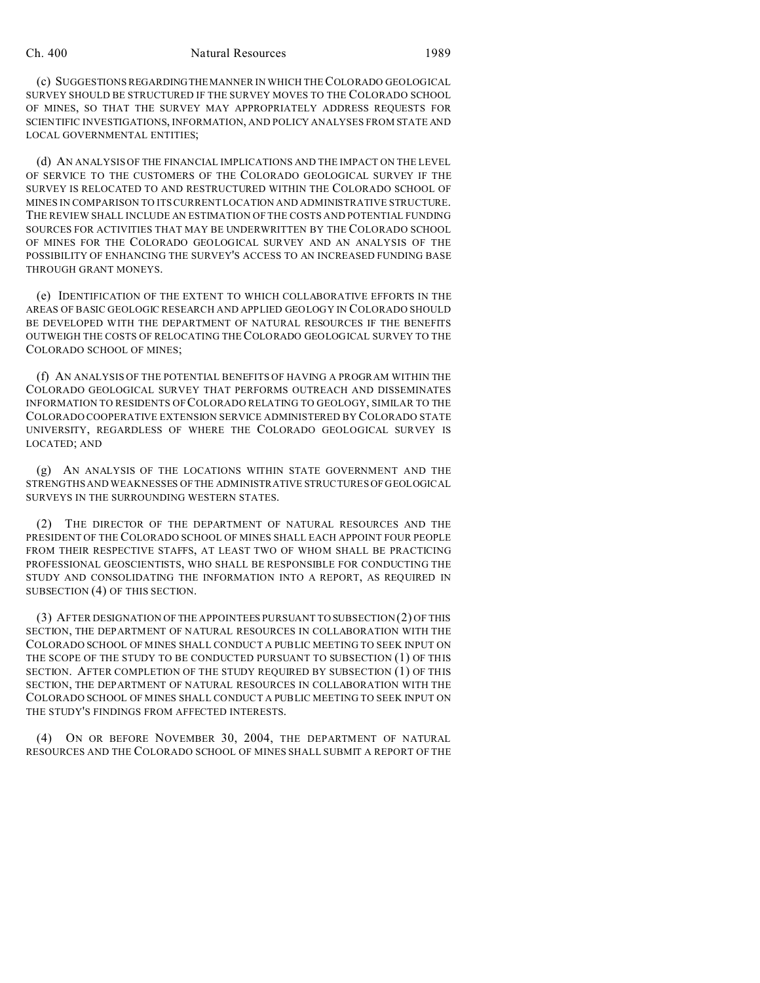#### Ch. 400 Natural Resources 1989

(c) SUGGESTIONS REGARDINGTHE MANNER IN WHICH THE COLORADO GEOLOGICAL SURVEY SHOULD BE STRUCTURED IF THE SURVEY MOVES TO THE COLORADO SCHOOL OF MINES, SO THAT THE SURVEY MAY APPROPRIATELY ADDRESS REQUESTS FOR SCIENTIFIC INVESTIGATIONS, INFORMATION, AND POLICY ANALYSES FROM STATE AND LOCAL GOVERNMENTAL ENTITIES;

(d) AN ANALYSIS OF THE FINANCIAL IMPLICATIONS AND THE IMPACT ON THE LEVEL OF SERVICE TO THE CUSTOMERS OF THE COLORADO GEOLOGICAL SURVEY IF THE SURVEY IS RELOCATED TO AND RESTRUCTURED WITHIN THE COLORADO SCHOOL OF MINES IN COMPARISON TO ITS CURRENT LOCATION AND ADMINISTRATIVE STRUCTURE. THE REVIEW SHALL INCLUDE AN ESTIMATION OF THE COSTS AND POTENTIAL FUNDING SOURCES FOR ACTIVITIES THAT MAY BE UNDERWRITTEN BY THE COLORADO SCHOOL OF MINES FOR THE COLORADO GEOLOGICAL SURVEY AND AN ANALYSIS OF THE POSSIBILITY OF ENHANCING THE SURVEY'S ACCESS TO AN INCREASED FUNDING BASE THROUGH GRANT MONEYS.

(e) IDENTIFICATION OF THE EXTENT TO WHICH COLLABORATIVE EFFORTS IN THE AREAS OF BASIC GEOLOGIC RESEARCH AND APPLIED GEOLOGY IN COLORADO SHOULD BE DEVELOPED WITH THE DEPARTMENT OF NATURAL RESOURCES IF THE BENEFITS OUTWEIGH THE COSTS OF RELOCATING THE COLORADO GEOLOGICAL SURVEY TO THE COLORADO SCHOOL OF MINES;

(f) AN ANALYSIS OF THE POTENTIAL BENEFITS OF HAVING A PROGRAM WITHIN THE COLORADO GEOLOGICAL SURVEY THAT PERFORMS OUTREACH AND DISSEMINATES INFORMATION TO RESIDENTS OF COLORADO RELATING TO GEOLOGY, SIMILAR TO THE COLORADO COOPERATIVE EXTENSION SERVICE ADMINISTERED BY COLORADO STATE UNIVERSITY, REGARDLESS OF WHERE THE COLORADO GEOLOGICAL SURVEY IS LOCATED; AND

(g) AN ANALYSIS OF THE LOCATIONS WITHIN STATE GOVERNMENT AND THE STRENGTHS AND WEAKNESSES OF THE ADMINISTRATIVE STRUCTURES OF GEOLOGICAL SURVEYS IN THE SURROUNDING WESTERN STATES.

(2) THE DIRECTOR OF THE DEPARTMENT OF NATURAL RESOURCES AND THE PRESIDENT OF THE COLORADO SCHOOL OF MINES SHALL EACH APPOINT FOUR PEOPLE FROM THEIR RESPECTIVE STAFFS, AT LEAST TWO OF WHOM SHALL BE PRACTICING PROFESSIONAL GEOSCIENTISTS, WHO SHALL BE RESPONSIBLE FOR CONDUCTING THE STUDY AND CONSOLIDATING THE INFORMATION INTO A REPORT, AS REQUIRED IN SUBSECTION (4) OF THIS SECTION.

(3) AFTER DESIGNATION OF THE APPOINTEES PURSUANT TO SUBSECTION (2) OF THIS SECTION, THE DEPARTMENT OF NATURAL RESOURCES IN COLLABORATION WITH THE COLORADO SCHOOL OF MINES SHALL CONDUCT A PUBLIC MEETING TO SEEK INPUT ON THE SCOPE OF THE STUDY TO BE CONDUCTED PURSUANT TO SUBSECTION (1) OF THIS SECTION. AFTER COMPLETION OF THE STUDY REQUIRED BY SUBSECTION (1) OF THIS SECTION, THE DEPARTMENT OF NATURAL RESOURCES IN COLLABORATION WITH THE COLORADO SCHOOL OF MINES SHALL CONDUCT A PUBLIC MEETING TO SEEK INPUT ON THE STUDY'S FINDINGS FROM AFFECTED INTERESTS.

(4) ON OR BEFORE NOVEMBER 30, 2004, THE DEPARTMENT OF NATURAL RESOURCES AND THE COLORADO SCHOOL OF MINES SHALL SUBMIT A REPORT OF THE